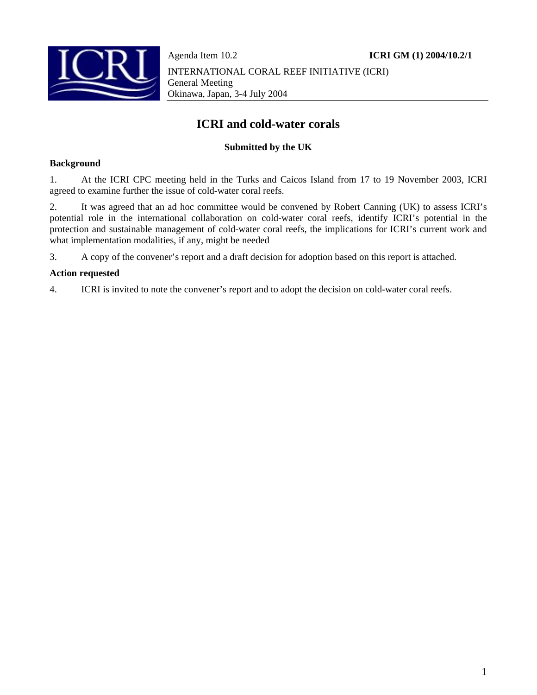

Agenda Item 10.2 **ICRI GM (1) 2004/10.2/1** INTERNATIONAL CORAL REEF INITIATIVE (ICRI) General Meeting Okinawa, Japan, 3-4 July 2004

# **ICRI and cold-water corals**

### **Submitted by the UK**

#### **Background**

1. At the ICRI CPC meeting held in the Turks and Caicos Island from 17 to 19 November 2003, ICRI agreed to examine further the issue of cold-water coral reefs.

2. It was agreed that an ad hoc committee would be convened by Robert Canning (UK) to assess ICRI's potential role in the international collaboration on cold-water coral reefs, identify ICRI's potential in the protection and sustainable management of cold-water coral reefs, the implications for ICRI's current work and what implementation modalities, if any, might be needed

3. A copy of the convener's report and a draft decision for adoption based on this report is attached.

#### **Action requested**

4. ICRI is invited to note the convener's report and to adopt the decision on cold-water coral reefs.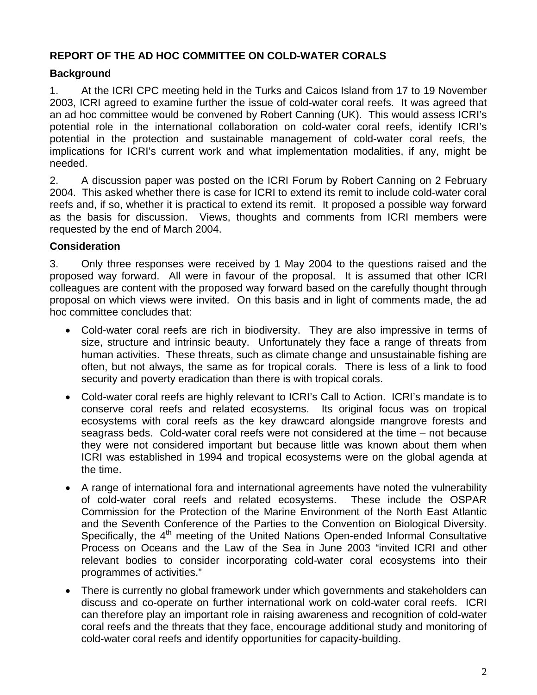## **REPORT OF THE AD HOC COMMITTEE ON COLD-WATER CORALS**

## **Background**

1. At the ICRI CPC meeting held in the Turks and Caicos Island from 17 to 19 November 2003, ICRI agreed to examine further the issue of cold-water coral reefs. It was agreed that an ad hoc committee would be convened by Robert Canning (UK). This would assess ICRI's potential role in the international collaboration on cold-water coral reefs, identify ICRI's potential in the protection and sustainable management of cold-water coral reefs, the implications for ICRI's current work and what implementation modalities, if any, might be needed.

2. A discussion paper was posted on the ICRI Forum by Robert Canning on 2 February 2004. This asked whether there is case for ICRI to extend its remit to include cold-water coral reefs and, if so, whether it is practical to extend its remit. It proposed a possible way forward as the basis for discussion. Views, thoughts and comments from ICRI members were requested by the end of March 2004.

### **Consideration**

3. Only three responses were received by 1 May 2004 to the questions raised and the proposed way forward. All were in favour of the proposal. It is assumed that other ICRI colleagues are content with the proposed way forward based on the carefully thought through proposal on which views were invited. On this basis and in light of comments made, the ad hoc committee concludes that:

- Cold-water coral reefs are rich in biodiversity. They are also impressive in terms of size, structure and intrinsic beauty. Unfortunately they face a range of threats from human activities. These threats, such as climate change and unsustainable fishing are often, but not always, the same as for tropical corals. There is less of a link to food security and poverty eradication than there is with tropical corals.
- Cold-water coral reefs are highly relevant to ICRI's Call to Action. ICRI's mandate is to conserve coral reefs and related ecosystems. Its original focus was on tropical ecosystems with coral reefs as the key drawcard alongside mangrove forests and seagrass beds. Cold-water coral reefs were not considered at the time – not because they were not considered important but because little was known about them when ICRI was established in 1994 and tropical ecosystems were on the global agenda at the time.
- A range of international fora and international agreements have noted the vulnerability of cold-water coral reefs and related ecosystems. These include the OSPAR Commission for the Protection of the Marine Environment of the North East Atlantic and the Seventh Conference of the Parties to the Convention on Biological Diversity. Specifically, the  $4<sup>th</sup>$  meeting of the United Nations Open-ended Informal Consultative Process on Oceans and the Law of the Sea in June 2003 "invited ICRI and other relevant bodies to consider incorporating cold-water coral ecosystems into their programmes of activities."
- There is currently no global framework under which governments and stakeholders can discuss and co-operate on further international work on cold-water coral reefs. ICRI can therefore play an important role in raising awareness and recognition of cold-water coral reefs and the threats that they face, encourage additional study and monitoring of cold-water coral reefs and identify opportunities for capacity-building.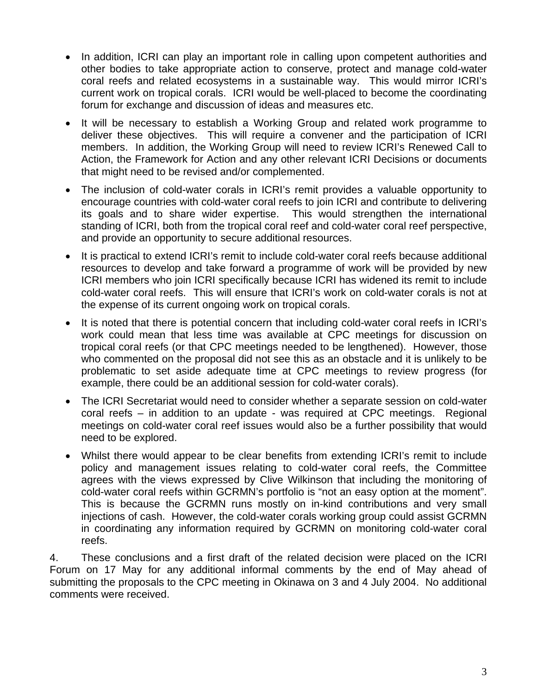- In addition, ICRI can play an important role in calling upon competent authorities and other bodies to take appropriate action to conserve, protect and manage cold-water coral reefs and related ecosystems in a sustainable way. This would mirror ICRI's current work on tropical corals. ICRI would be well-placed to become the coordinating forum for exchange and discussion of ideas and measures etc.
- It will be necessary to establish a Working Group and related work programme to deliver these objectives. This will require a convener and the participation of ICRI members. In addition, the Working Group will need to review ICRI's Renewed Call to Action, the Framework for Action and any other relevant ICRI Decisions or documents that might need to be revised and/or complemented.
- The inclusion of cold-water corals in ICRI's remit provides a valuable opportunity to encourage countries with cold-water coral reefs to join ICRI and contribute to delivering its goals and to share wider expertise. This would strengthen the international standing of ICRI, both from the tropical coral reef and cold-water coral reef perspective, and provide an opportunity to secure additional resources.
- It is practical to extend ICRI's remit to include cold-water coral reefs because additional resources to develop and take forward a programme of work will be provided by new ICRI members who join ICRI specifically because ICRI has widened its remit to include cold-water coral reefs. This will ensure that ICRI's work on cold-water corals is not at the expense of its current ongoing work on tropical corals.
- It is noted that there is potential concern that including cold-water coral reefs in ICRI's work could mean that less time was available at CPC meetings for discussion on tropical coral reefs (or that CPC meetings needed to be lengthened). However, those who commented on the proposal did not see this as an obstacle and it is unlikely to be problematic to set aside adequate time at CPC meetings to review progress (for example, there could be an additional session for cold-water corals).
- The ICRI Secretariat would need to consider whether a separate session on cold-water coral reefs – in addition to an update - was required at CPC meetings. Regional meetings on cold-water coral reef issues would also be a further possibility that would need to be explored.
- Whilst there would appear to be clear benefits from extending ICRI's remit to include policy and management issues relating to cold-water coral reefs, the Committee agrees with the views expressed by Clive Wilkinson that including the monitoring of cold-water coral reefs within GCRMN's portfolio is "not an easy option at the moment". This is because the GCRMN runs mostly on in-kind contributions and very small injections of cash. However, the cold-water corals working group could assist GCRMN in coordinating any information required by GCRMN on monitoring cold-water coral reefs.

4. These conclusions and a first draft of the related decision were placed on the ICRI Forum on 17 May for any additional informal comments by the end of May ahead of submitting the proposals to the CPC meeting in Okinawa on 3 and 4 July 2004. No additional comments were received.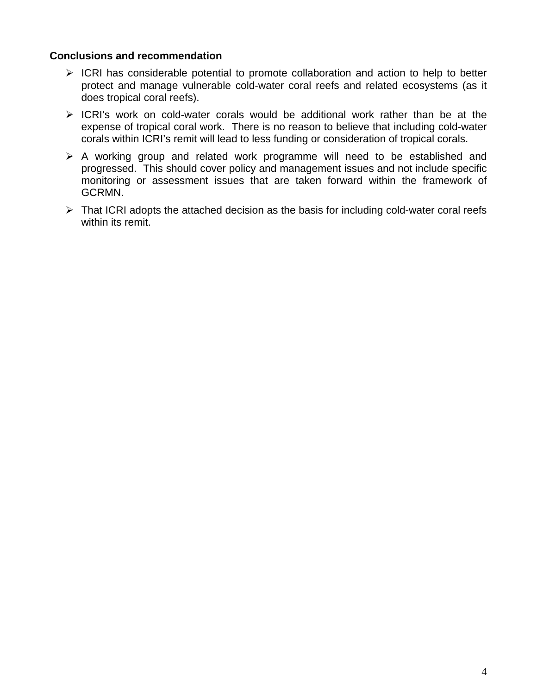### **Conclusions and recommendation**

- $\triangleright$  ICRI has considerable potential to promote collaboration and action to help to better protect and manage vulnerable cold-water coral reefs and related ecosystems (as it does tropical coral reefs).
- $\triangleright$  ICRI's work on cold-water corals would be additional work rather than be at the expense of tropical coral work. There is no reason to believe that including cold-water corals within ICRI's remit will lead to less funding or consideration of tropical corals.
- $\triangleright$  A working group and related work programme will need to be established and progressed. This should cover policy and management issues and not include specific monitoring or assessment issues that are taken forward within the framework of GCRMN.
- $\triangleright$  That ICRI adopts the attached decision as the basis for including cold-water coral reefs within its remit.